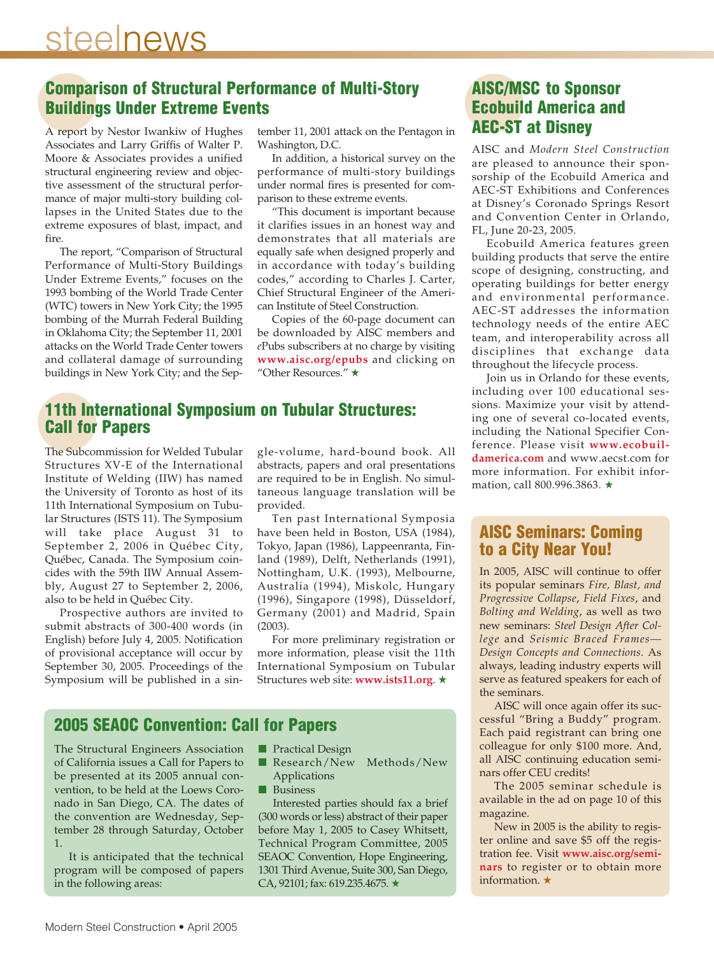# **steelnews**

### **Comparison of Structural Performance of Multi-Story Buildings Under Extreme Events**

A report by Nestor Iwankiw of Hughes Associates and Larry Griffis of Walter P. Moore & Associates provides a unified structural engineering review and objective assessment of the structural performance of major multi-story building collapses in the United States due to the extreme exposures of blast, impact, and fire.

The report, "Comparison of Structural Performance of Multi-Story Buildings Under Extreme Events," focuses on the 1993 bombing of the World Trade Center (WTC) towers in New York City; the 1995 bombing of the Murrah Federal Building in Oklahoma City; the September 11, 2001 attacks on the World Trade Center towers and collateral damage of surrounding buildings in New York City; and the September 11, 2001 attack on the Pentagon in Washington, D.C.

In addition, a historical survey on the performance of multi-story buildings under normal fires is presented for comparison to these extreme events.

"This document is important because it clarifies issues in an honest way and demonstrates that all materials are equally safe when designed properly and in accordance with today's building codes," according to Charles J. Carter, Chief Structural Engineer of the American Institute of Steel Construction.

Copies of the 60-page document can be downloaded by AISC members and *e*Pubs subscribers at no charge by visiting **www.aisc.org/epubs** and clicking on "Other Resources." ★

#### **11th International Symposium on Tubular Structures: Call for Papers**

The Subcommission for Welded Tubular Structures XV-E of the International Institute of Welding (IIW) has named the University of Toronto as host of its 11th International Symposium on Tubular Structures (ISTS 11). The Symposium will take place August 31 to September 2, 2006 in Québec City, Québec, Canada. The Symposium coincides with the 59th IIW Annual Assembly, August 27 to September 2, 2006, also to be held in Québec City.

Prospective authors are invited to submit abstracts of 300-400 words (in English) before July 4, 2005. Notification of provisional acceptance will occur by September 30, 2005. Proceedings of the Symposium will be published in a single-volume, hard-bound book. All abstracts, papers and oral presentations are required to be in English. No simultaneous language translation will be provided.

Ten past International Symposia have been held in Boston, USA (1984), Tokyo, Japan (1986), Lappeenranta, Finland (1989), Delft, Netherlands (1991), Nottingham, U.K. (1993), Melbourne, Australia (1994), Miskolc, Hungary (1996), Singapore (1998), Düsseldorf, Germany (2001) and Madrid, Spain (2003).

For more preliminary registration or more information, please visit the 11th International Symposium on Tubular Structures web site: **www.ists11.org**. ★

## **2005 SEAOC Convention: Call for Papers**

The Structural Engineers Association of California issues a Call for Papers to be presented at its 2005 annual convention, to be held at the Loews Coronado in San Diego, CA. The dates of the convention are Wednesday, September 28 through Saturday, October 1.

It is anticipated that the technical program will be composed of papers in the following areas:

- Practical Design
- Research/New Methods/New Applications
- Business

Interested parties should fax a brief (300 words or less) abstract of their paper before May 1, 2005 to Casey Whitsett, Technical Program Committee, 2005 SEAOC Convention, Hope Engineering, 1301 Third Avenue, Suite 300, San Diego, CA, 92101; fax: 619.235.4675. ★

### **AISC/MSC to Sponsor Ecobuild America and AEC-ST at Disney**

AISC and *Modern Steel Construction* are pleased to announce their sponsorship of the Ecobuild America and AEC-ST Exhibitions and Conferences at Disney's Coronado Springs Resort and Convention Center in Orlando, FL, June 20-23, 2005.

Ecobuild America features green building products that serve the entire scope of designing, constructing, and operating buildings for better energy and environmental performance. AEC-ST addresses the information technology needs of the entire AEC team, and interoperability across all disciplines that exchange data throughout the lifecycle process.

Join us in Orlando for these events, including over 100 educational sessions. Maximize your visit by attending one of several co-located events, including the National Specifier Conference. Please visit **www.ecobuildamerica.com** and www.aecst.com for more information. For exhibit information, call 800.996.3863. ★

#### **AISC Seminars: Coming to a City Near You!**

In 2005, AISC will continue to offer its popular seminars *Fire, Blast, and Progressive Collapse*, *Field Fixes*, and *Bolting and Welding*, as well as two new seminars: *Steel Design After College* and *Seismic Braced Frames— Design Concepts and Connections*. As always, leading industry experts will serve as featured speakers for each of the seminars.

AISC will once again offer its successful "Bring a Buddy" program. Each paid registrant can bring one colleague for only \$100 more. And, all AISC continuing education seminars offer CEU credits!

The 2005 seminar schedule is available in the ad on page 10 of this magazine.

New in 2005 is the ability to register online and save \$5 off the registration fee. Visit **www.aisc.org/seminars** to register or to obtain more information. ★